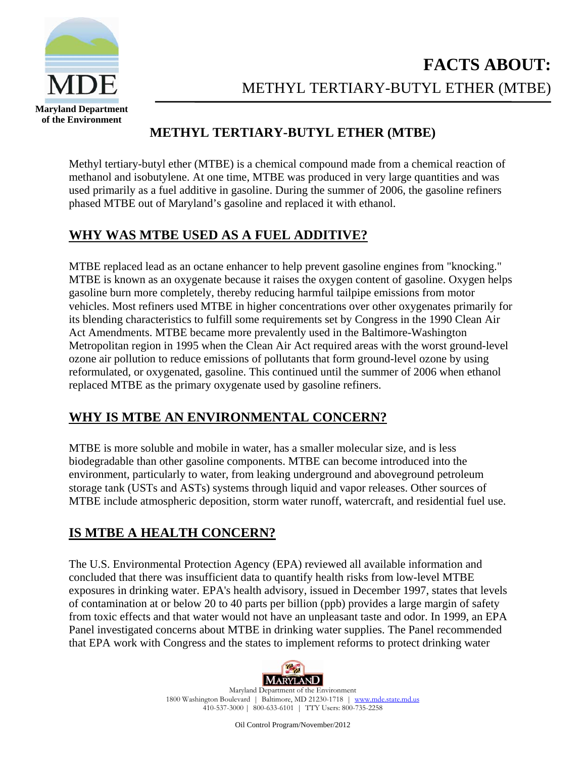

## **METHYL TERTIARY-BUTYL ETHER (MTBE)**

Methyl tertiary-butyl ether (MTBE) is a chemical compound made from a chemical reaction of methanol and isobutylene. At one time, MTBE was produced in very large quantities and was used primarily as a fuel additive in gasoline. During the summer of 2006, the gasoline refiners phased MTBE out of Maryland's gasoline and replaced it with ethanol.

#### **WHY WAS MTBE USED AS A FUEL ADDITIVE?**

MTBE replaced lead as an octane enhancer to help prevent gasoline engines from "knocking." MTBE is known as an oxygenate because it raises the oxygen content of gasoline. Oxygen helps gasoline burn more completely, thereby reducing harmful tailpipe emissions from motor vehicles. Most refiners used MTBE in higher concentrations over other oxygenates primarily for its blending characteristics to fulfill some requirements set by Congress in the 1990 Clean Air Act Amendments. MTBE became more prevalently used in the Baltimore-Washington Metropolitan region in 1995 when the Clean Air Act required areas with the worst ground-level ozone air pollution to reduce emissions of pollutants that form ground-level ozone by using reformulated, or oxygenated, gasoline. This continued until the summer of 2006 when ethanol replaced MTBE as the primary oxygenate used by gasoline refiners.

#### **WHY IS MTBE AN ENVIRONMENTAL CONCERN?**

MTBE is more soluble and mobile in water, has a smaller molecular size, and is less biodegradable than other gasoline components. MTBE can become introduced into the environment, particularly to water, from leaking underground and aboveground petroleum storage tank (USTs and ASTs) systems through liquid and vapor releases. Other sources of MTBE include atmospheric deposition, storm water runoff, watercraft, and residential fuel use.

### **IS MTBE A HEALTH CONCERN?**

The U.S. Environmental Protection Agency (EPA) reviewed all available information and concluded that there was insufficient data to quantify health risks from low-level MTBE exposures in drinking water. EPA's health advisory, issued in December 1997, states that levels of contamination at or below 20 to 40 parts per billion (ppb) provides a large margin of safety from toxic effects and that water would not have an unpleasant taste and odor. In 1999, an EPA Panel investigated concerns about MTBE in drinking water supplies. The Panel recommended that EPA work with Congress and the states to implement reforms to protect drinking water



Maryland Department of the Environment 1800 Washington Boulevard | Baltimore, MD 21230-1718 | www.mde.state.md.us 410-537-3000 | 800-633-6101 | TTY Users: 800-735-2258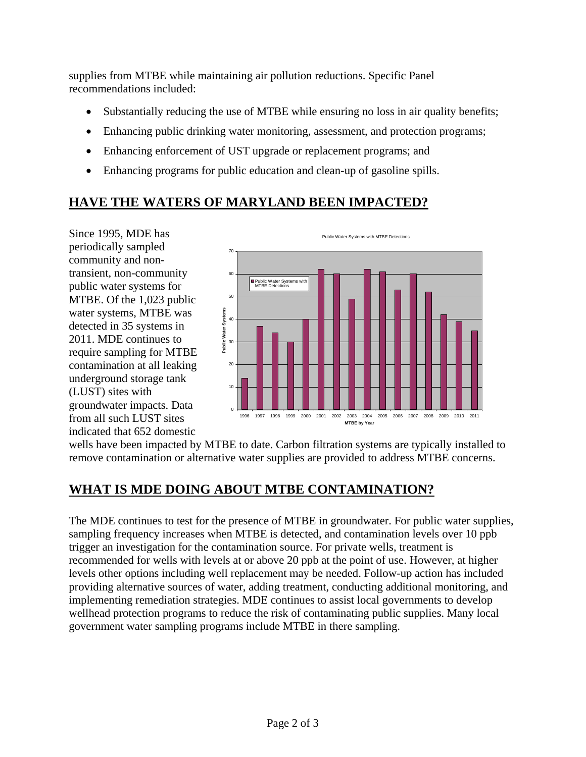supplies from MTBE while maintaining air pollution reductions. Specific Panel recommendations included:

- Substantially reducing the use of MTBE while ensuring no loss in air quality benefits;
- Enhancing public drinking water monitoring, assessment, and protection programs;
- Enhancing enforcement of UST upgrade or replacement programs; and
- Enhancing programs for public education and clean-up of gasoline spills.

# **HAVE THE WATERS OF MARYLAND BEEN IMPACTED?**

Since 1995, MDE has periodically sampled community and nontransient, non-community public water systems for MTBE. Of the 1,023 public water systems, MTBE was detected in 35 systems i n 2011. MDE continues to require sampling for MTBE contamination at all leaki ng underground storage tank (LUST) sites with groundwater impacts. Data from all such LUST site s indicated that 652 domesti c



wells have been impacted by MTBE to date. Carbon filtration systems are typically inst alled to remove contamination or alternative water supplies are provided to address MTBE co ncerns.

### **WHAT IS MDE DOING ABOUT MTBE CONTAMINATION?**

The MDE continues to test for the presence of MTBE in groundwater. For public water supplies, sampling frequency increases when MTBE is detected, and contamination levels over 10 ppb trigger an investigation for the contamination source. For private wells, treatment is recommended for wells with levels at or above 20 ppb at the point of use. However, at higher levels other options including well replacement may be needed. Follow-up action has included providing alternative sources of water, adding treatment, conducting additional monitoring, and implementing remediation strategies. MDE continues to assist local governments to develop wellhead protection programs to reduce the risk of contaminating public supplies. Many local government water sampling programs include MTBE in there sampling.